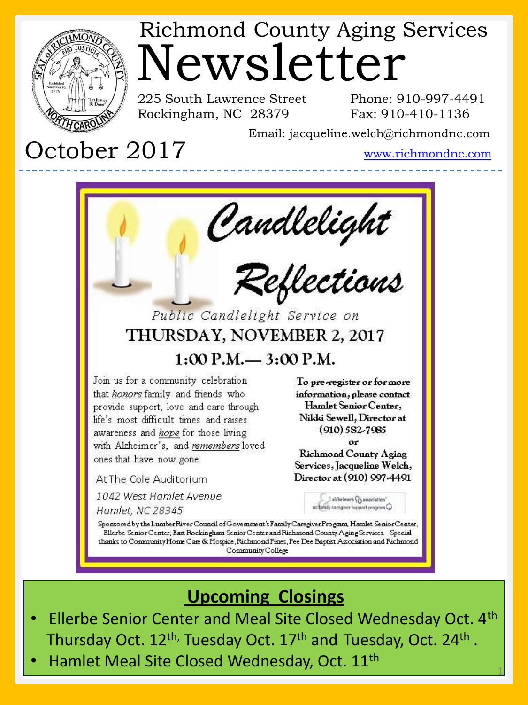

# Newsletter Richmond County Aging Services

225 South Lawrence Street Rockingham, NC 28379

Phone: 910-997-4491 Fax: 910-410-1136

Email: jacqueline.welch@richmondnc.com

# October 2017

www.richmondnc.com

1



#### **Upcoming Closings**

- Ellerbe Senior Center and Meal Site Closed Wednesday Oct. 4th Thursday Oct. 12<sup>th,</sup> Tuesday Oct. 17<sup>th</sup> and Tuesday, Oct. 24<sup>th</sup>.
	- Hamlet Meal Site Closed Wednesday, Oct. 11th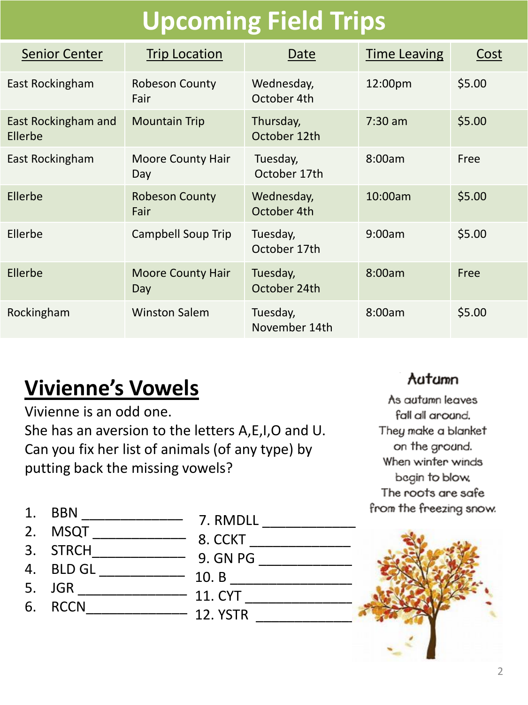# **Upcoming Field Trips**

| <b>Senior Center</b>           | <b>Trip Location</b>            | Date                      | <b>Time Leaving</b> | Cost   |
|--------------------------------|---------------------------------|---------------------------|---------------------|--------|
| East Rockingham                | <b>Robeson County</b><br>Fair   | Wednesday,<br>October 4th | 12:00pm             | \$5.00 |
| East Rockingham and<br>Ellerbe | <b>Mountain Trip</b>            | Thursday,<br>October 12th | $7:30 \text{ am}$   | \$5.00 |
| East Rockingham                | <b>Moore County Hair</b><br>Day | Tuesday,<br>October 17th  | 8:00am              | Free   |
| Ellerbe                        | <b>Robeson County</b><br>Fair   | Wednesday,<br>October 4th | 10:00am             | \$5.00 |
| Ellerbe                        | Campbell Soup Trip              | Tuesday,<br>October 17th  | 9:00am              | \$5.00 |
| Ellerbe                        | <b>Moore County Hair</b><br>Day | Tuesday,<br>October 24th  | 8:00am              | Free   |
| Rockingham                     | <b>Winston Salem</b>            | Tuesday,<br>November 14th | 8:00am              | \$5.00 |

## **Vivienne's Vowels**

Vivienne is an odd one. She has an aversion to the letters A,E,I,O and U. Can you fix her list of animals (of any type) by putting back the missing vowels?

#### Aatamn

As autumn leaves fall all around. They make a blanket on the ground. When winter winds begin to blow. The roots are safe from the freezing snow.

- 
- 1. BBN \_\_\_\_\_\_\_\_\_\_\_\_\_ 2. MSQT \_\_\_\_\_\_\_\_\_\_\_\_
- 3. STRCH\_\_\_\_\_\_\_\_\_\_\_\_
- 4. BLD GL \_\_\_\_\_\_\_\_\_\_\_\_\_\_
- 5. JGR \_\_\_\_\_\_\_\_\_\_\_\_\_\_\_\_\_\_\_\_\_\_\_
- 6. RCCN\_\_\_\_\_\_\_\_\_\_\_\_\_
- 7. RMDLL \_\_\_\_\_\_\_\_\_\_\_\_
- 8. CCKT \_\_\_\_\_\_\_\_\_\_\_\_\_\_\_\_\_
	- 9. GN PG \_\_\_\_\_\_\_\_\_\_\_\_\_\_\_\_
	- 10. B \_\_\_\_\_\_\_\_\_\_\_\_\_\_\_\_
	- 11. CYT \_\_\_\_\_\_\_\_\_\_\_\_\_\_
	- 12. YSTR \_\_\_\_\_\_\_\_\_\_\_\_\_

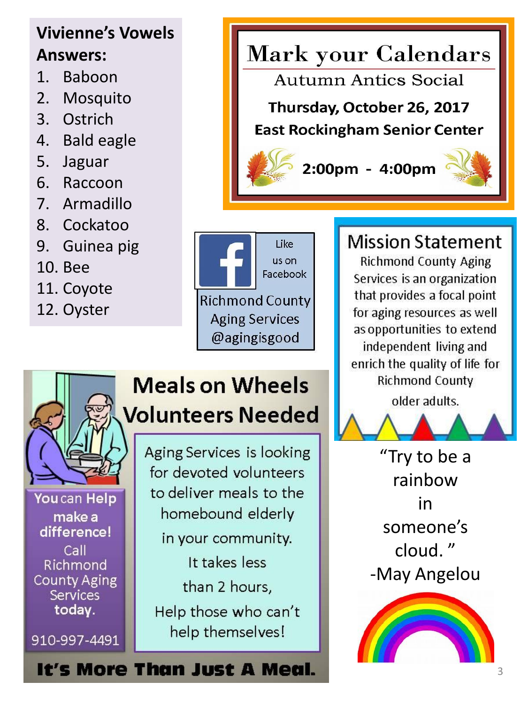#### **Vivienne's Vowels Answers:**

- 1. Baboon
- 2. Mosquito
- 3. Ostrich
- 4. Bald eagle
- 5. Jaguar
- 6. Raccoon
- 7. Armadillo
- 8. Cockatoo
- 9. Guinea pig
- 10. Bee
- 11. Coyote
- 12. Oyster

# **Mark your Calendars**

Autumn Antics Social

Thursday, October 26, 2017 **East Rockingham Senior Center** 

2:00pm - 4:00pm



## **Meals on Wheels Volunteers Needed**

You can Help make a difference! Call Richmond **County Aging** Services today.

910-997-4491

Aging Services is looking for devoted volunteers to deliver meals to the homebound elderly in your community. It takes less than 2 hours, Help those who can't help themselves!

It's More Than Just A Meal.

### **Mission Statement**

**Richmond County Aging** Services is an organization that provides a focal point for aging resources as well as opportunities to extend independent living and enrich the quality of life for **Richmond County** 

older adults.

"Try to be a rainbow in someone's cloud. " -May Angelou

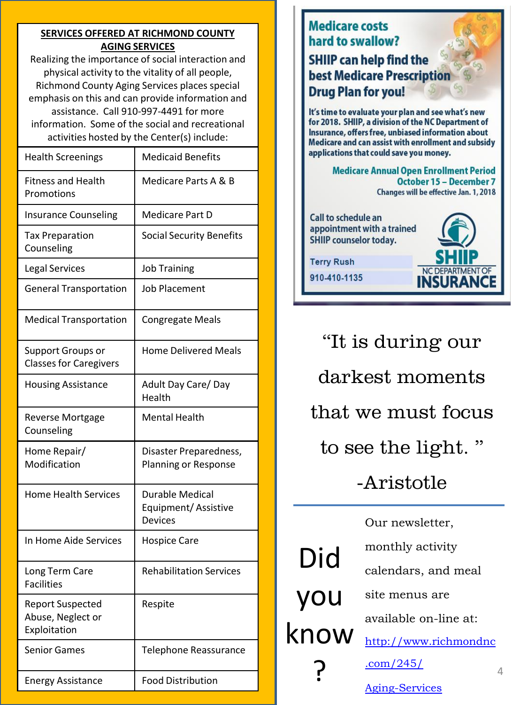#### **SERVICES OFFERED AT RICHMOND COUNTY AGING SERVICES**

Realizing the importance of social interaction and physical activity to the vitality of all people, Richmond County Aging Services places special emphasis on this and can provide information and assistance. Call 910-997-4491 for more information. Some of the social and recreational activities hosted by the Center(s) include:

| <b>Health Screenings</b>                                     | <b>Medicaid Benefits</b>                                        |  |
|--------------------------------------------------------------|-----------------------------------------------------------------|--|
| <b>Fitness and Health</b><br>Promotions                      | Medicare Parts A & B                                            |  |
| <b>Insurance Counseling</b>                                  | Medicare Part D                                                 |  |
| <b>Tax Preparation</b><br>Counseling                         | <b>Social Security Benefits</b>                                 |  |
| <b>Legal Services</b>                                        | <b>Job Training</b>                                             |  |
| <b>General Transportation</b>                                | <b>Job Placement</b>                                            |  |
| <b>Medical Transportation</b>                                | <b>Congregate Meals</b>                                         |  |
| Support Groups or<br><b>Classes for Caregivers</b>           | <b>Home Delivered Meals</b>                                     |  |
| <b>Housing Assistance</b>                                    | Adult Day Care/Day<br>Health                                    |  |
| <b>Reverse Mortgage</b><br>Counseling                        | <b>Mental Health</b>                                            |  |
| Home Repair/<br>Modification                                 | Disaster Preparedness,<br>Planning or Response                  |  |
| <b>Home Health Services</b>                                  | <b>Durable Medical</b><br>Equipment/Assistive<br><b>Devices</b> |  |
| In Home Aide Services                                        | <b>Hospice Care</b>                                             |  |
| Long Term Care<br>Facilities                                 | <b>Rehabilitation Services</b>                                  |  |
| <b>Report Suspected</b><br>Abuse, Neglect or<br>Exploitation | Respite                                                         |  |
| <b>Senior Games</b>                                          | <b>Telephone Reassurance</b>                                    |  |
| <b>Energy Assistance</b>                                     | <b>Food Distribution</b>                                        |  |



4

[Aging-Services](http://www.richmondnc.com/245/Aging-Services)

[.com/245/](http://www.richmondnc.com/245/Aging-Services)

?